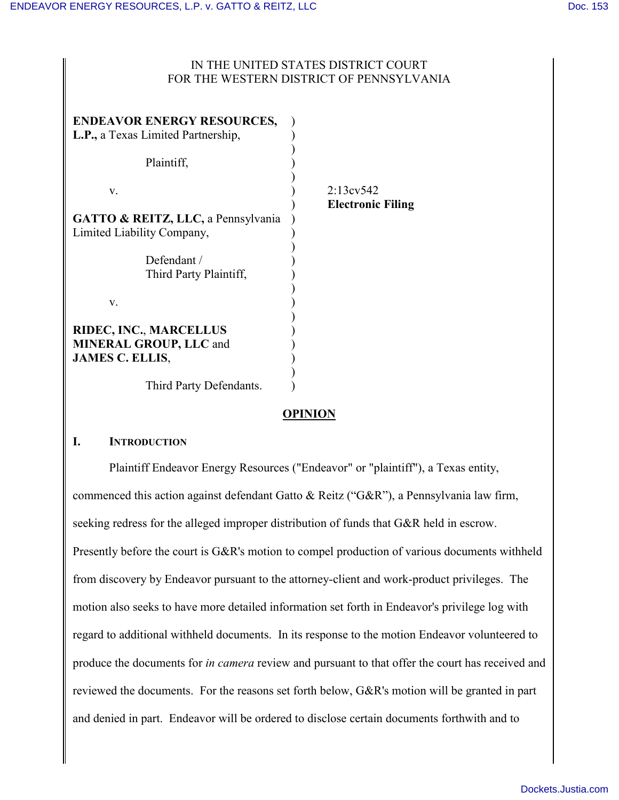### IN THE UNITED STATES DISTRICT COURT FOR THE WESTERN DISTRICT OF PENNSYLVANIA

| <b>ENDEAVOR ENERGY RESOURCES,</b><br>L.P., a Texas Limited Partnership,<br>Plaintiff, |                                       |
|---------------------------------------------------------------------------------------|---------------------------------------|
| V.                                                                                    | 2:13ev542<br><b>Electronic Filing</b> |
| GATTO & REITZ, LLC, a Pennsylvania<br>Limited Liability Company,                      |                                       |
| Defendant /<br>Third Party Plaintiff,                                                 |                                       |
| V.                                                                                    |                                       |
| RIDEC, INC., MARCELLUS<br><b>MINERAL GROUP, LLC and</b><br><b>JAMES C. ELLIS,</b>     |                                       |
| Third Party Defendants.                                                               |                                       |

# **OPINION**

### **I. INTRODUCTION**

Plaintiff Endeavor Energy Resources ("Endeavor" or "plaintiff"), a Texas entity, commenced this action against defendant Gatto & Reitz ("G&R"), a Pennsylvania law firm, seeking redress for the alleged improper distribution of funds that G&R held in escrow. Presently before the court is G&R's motion to compel production of various documents withheld from discovery by Endeavor pursuant to the attorney-client and work-product privileges. The motion also seeks to have more detailed information set forth in Endeavor's privilege log with regard to additional withheld documents. In its response to the motion Endeavor volunteered to produce the documents for *in camera* review and pursuant to that offer the court has received and reviewed the documents. For the reasons set forth below, G&R's motion will be granted in part and denied in part. Endeavor will be ordered to disclose certain documents forthwith and to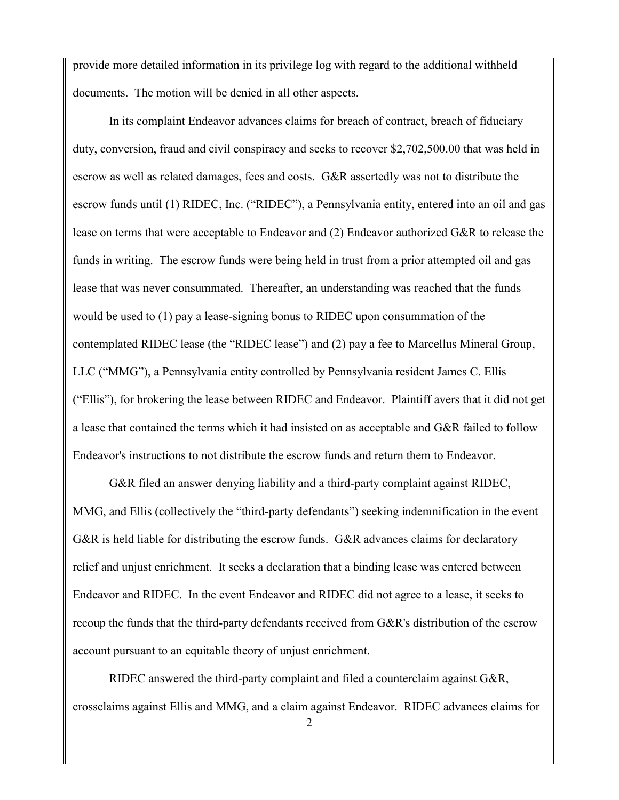provide more detailed information in its privilege log with regard to the additional withheld documents. The motion will be denied in all other aspects.

In its complaint Endeavor advances claims for breach of contract, breach of fiduciary duty, conversion, fraud and civil conspiracy and seeks to recover \$2,702,500.00 that was held in escrow as well as related damages, fees and costs. G&R assertedly was not to distribute the escrow funds until (1) RIDEC, Inc. ("RIDEC"), a Pennsylvania entity, entered into an oil and gas lease on terms that were acceptable to Endeavor and (2) Endeavor authorized G&R to release the funds in writing. The escrow funds were being held in trust from a prior attempted oil and gas lease that was never consummated. Thereafter, an understanding was reached that the funds would be used to (1) pay a lease-signing bonus to RIDEC upon consummation of the contemplated RIDEC lease (the "RIDEC lease") and (2) pay a fee to Marcellus Mineral Group, LLC ("MMG"), a Pennsylvania entity controlled by Pennsylvania resident James C. Ellis ("Ellis"), for brokering the lease between RIDEC and Endeavor. Plaintiff avers that it did not get a lease that contained the terms which it had insisted on as acceptable and G&R failed to follow Endeavor's instructions to not distribute the escrow funds and return them to Endeavor.

G&R filed an answer denying liability and a third-party complaint against RIDEC, MMG, and Ellis (collectively the "third-party defendants") seeking indemnification in the event G&R is held liable for distributing the escrow funds. G&R advances claims for declaratory relief and unjust enrichment. It seeks a declaration that a binding lease was entered between Endeavor and RIDEC. In the event Endeavor and RIDEC did not agree to a lease, it seeks to recoup the funds that the third-party defendants received from G&R's distribution of the escrow account pursuant to an equitable theory of unjust enrichment.

RIDEC answered the third-party complaint and filed a counterclaim against G&R, crossclaims against Ellis and MMG, and a claim against Endeavor. RIDEC advances claims for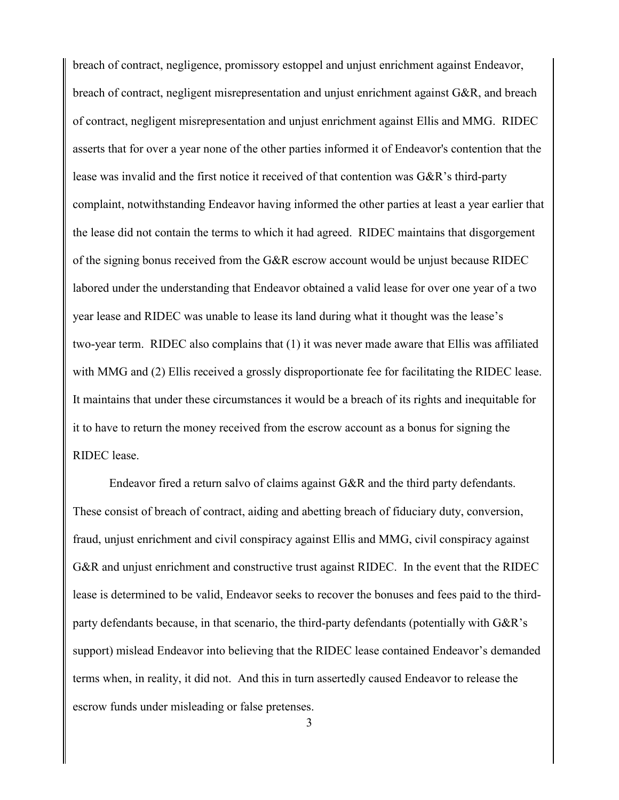breach of contract, negligence, promissory estoppel and unjust enrichment against Endeavor, breach of contract, negligent misrepresentation and unjust enrichment against G&R, and breach of contract, negligent misrepresentation and unjust enrichment against Ellis and MMG. RIDEC asserts that for over a year none of the other parties informed it of Endeavor's contention that the lease was invalid and the first notice it received of that contention was G&R's third-party complaint, notwithstanding Endeavor having informed the other parties at least a year earlier that the lease did not contain the terms to which it had agreed. RIDEC maintains that disgorgement of the signing bonus received from the G&R escrow account would be unjust because RIDEC labored under the understanding that Endeavor obtained a valid lease for over one year of a two year lease and RIDEC was unable to lease its land during what it thought was the lease's two-year term. RIDEC also complains that (1) it was never made aware that Ellis was affiliated with MMG and (2) Ellis received a grossly disproportionate fee for facilitating the RIDEC lease. It maintains that under these circumstances it would be a breach of its rights and inequitable for it to have to return the money received from the escrow account as a bonus for signing the RIDEC lease.

Endeavor fired a return salvo of claims against G&R and the third party defendants. These consist of breach of contract, aiding and abetting breach of fiduciary duty, conversion, fraud, unjust enrichment and civil conspiracy against Ellis and MMG, civil conspiracy against G&R and unjust enrichment and constructive trust against RIDEC. In the event that the RIDEC lease is determined to be valid, Endeavor seeks to recover the bonuses and fees paid to the thirdparty defendants because, in that scenario, the third-party defendants (potentially with G&R's support) mislead Endeavor into believing that the RIDEC lease contained Endeavor's demanded terms when, in reality, it did not. And this in turn assertedly caused Endeavor to release the escrow funds under misleading or false pretenses.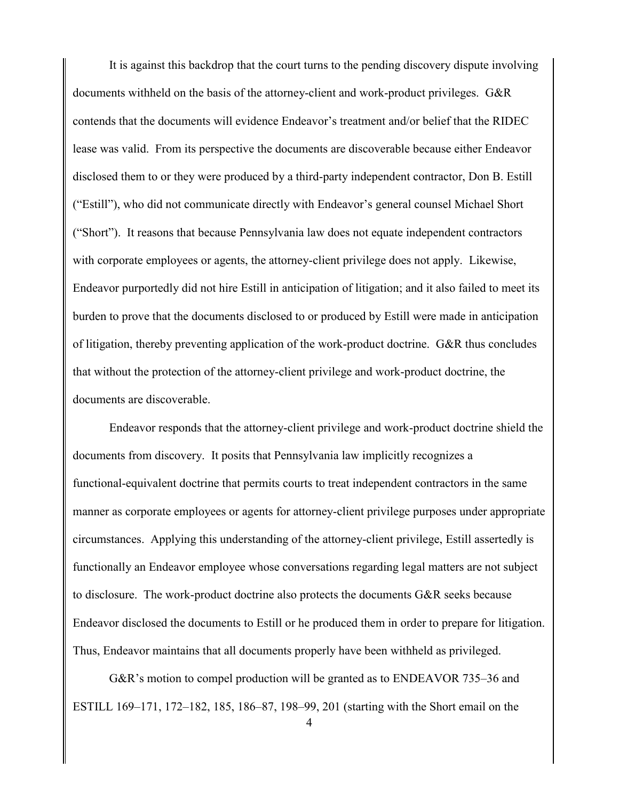It is against this backdrop that the court turns to the pending discovery dispute involving documents withheld on the basis of the attorney-client and work-product privileges. G&R contends that the documents will evidence Endeavor's treatment and/or belief that the RIDEC lease was valid. From its perspective the documents are discoverable because either Endeavor disclosed them to or they were produced by a third-party independent contractor, Don B. Estill ("Estill"), who did not communicate directly with Endeavor's general counsel Michael Short ("Short"). It reasons that because Pennsylvania law does not equate independent contractors with corporate employees or agents, the attorney-client privilege does not apply. Likewise, Endeavor purportedly did not hire Estill in anticipation of litigation; and it also failed to meet its burden to prove that the documents disclosed to or produced by Estill were made in anticipation of litigation, thereby preventing application of the work-product doctrine. G&R thus concludes that without the protection of the attorney-client privilege and work-product doctrine, the documents are discoverable.

Endeavor responds that the attorney-client privilege and work-product doctrine shield the documents from discovery. It posits that Pennsylvania law implicitly recognizes a functional-equivalent doctrine that permits courts to treat independent contractors in the same manner as corporate employees or agents for attorney-client privilege purposes under appropriate circumstances. Applying this understanding of the attorney-client privilege, Estill assertedly is functionally an Endeavor employee whose conversations regarding legal matters are not subject to disclosure. The work-product doctrine also protects the documents G&R seeks because Endeavor disclosed the documents to Estill or he produced them in order to prepare for litigation. Thus, Endeavor maintains that all documents properly have been withheld as privileged.

G&R's motion to compel production will be granted as to ENDEAVOR 735–36 and ESTILL 169–171, 172–182, 185, 186–87, 198–99, 201 (starting with the Short email on the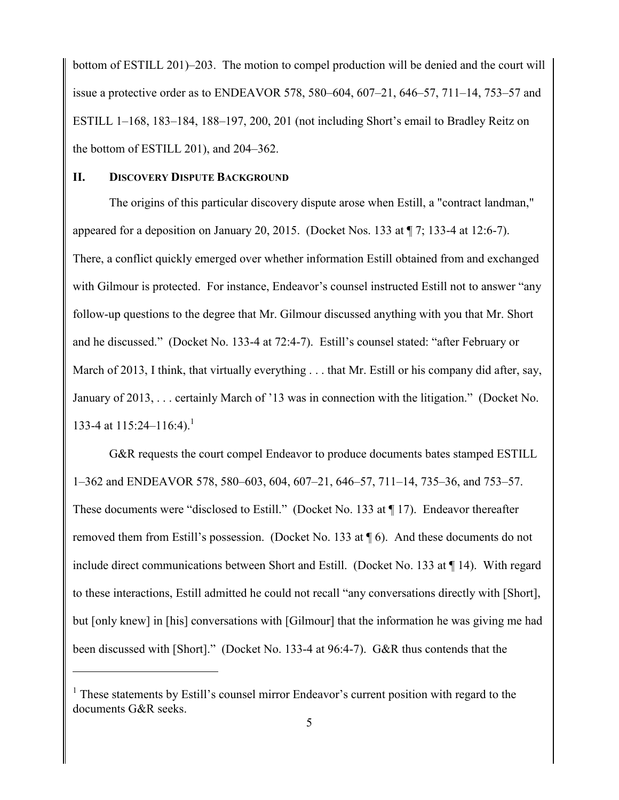bottom of ESTILL 201)–203. The motion to compel production will be denied and the court will issue a protective order as to ENDEAVOR 578, 580–604, 607–21, 646–57, 711–14, 753–57 and ESTILL 1–168, 183–184, 188–197, 200, 201 (not including Short's email to Bradley Reitz on the bottom of ESTILL 201), and 204–362.

#### **II. DISCOVERY DISPUTE BACKGROUND**

 $\overline{a}$ 

The origins of this particular discovery dispute arose when Estill, a "contract landman," appeared for a deposition on January 20, 2015. (Docket Nos. 133 at ¶ 7; 133-4 at 12:6-7). There, a conflict quickly emerged over whether information Estill obtained from and exchanged with Gilmour is protected. For instance, Endeavor's counsel instructed Estill not to answer "any follow-up questions to the degree that Mr. Gilmour discussed anything with you that Mr. Short and he discussed." (Docket No. 133-4 at 72:4-7). Estill's counsel stated: "after February or March of 2013, I think, that virtually everything . . . that Mr. Estill or his company did after, say, January of 2013, . . . certainly March of '13 was in connection with the litigation." (Docket No. 133-4 at  $115:24-116:4$ .<sup>1</sup>

G&R requests the court compel Endeavor to produce documents bates stamped ESTILL 1–362 and ENDEAVOR 578, 580–603, 604, 607–21, 646–57, 711–14, 735–36, and 753–57. These documents were "disclosed to Estill." (Docket No. 133 at ¶ 17). Endeavor thereafter removed them from Estill's possession. (Docket No. 133 at ¶ 6). And these documents do not include direct communications between Short and Estill. (Docket No. 133 at ¶ 14). With regard to these interactions, Estill admitted he could not recall "any conversations directly with [Short], but [only knew] in [his] conversations with [Gilmour] that the information he was giving me had been discussed with [Short]." (Docket No. 133-4 at 96:4-7). G&R thus contends that the

<sup>&</sup>lt;sup>1</sup> These statements by Estill's counsel mirror Endeavor's current position with regard to the documents G&R seeks.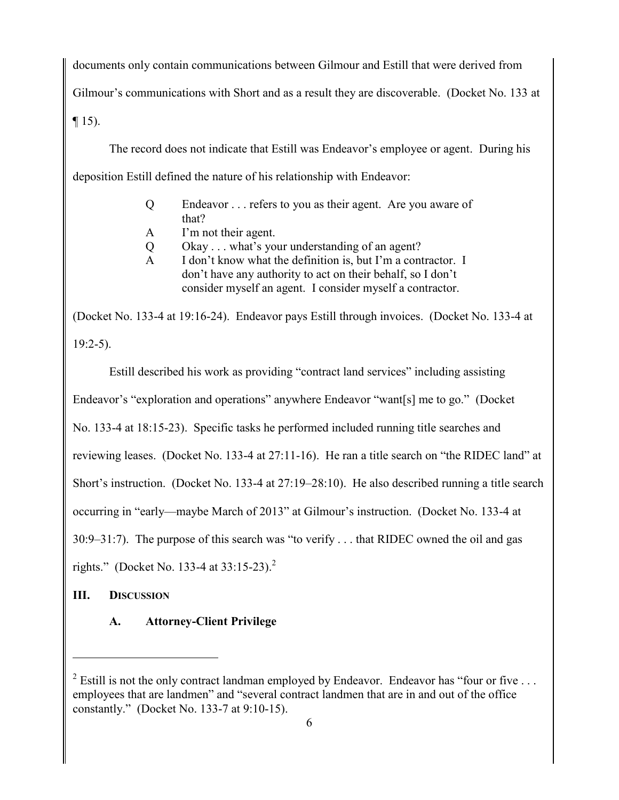documents only contain communications between Gilmour and Estill that were derived from Gilmour's communications with Short and as a result they are discoverable. (Docket No. 133 at

 $\P$  15).

The record does not indicate that Estill was Endeavor's employee or agent. During his deposition Estill defined the nature of his relationship with Endeavor:

- Q Endeavor . . . refers to you as their agent. Are you aware of that?
- A I'm not their agent.
- Q Okay . . . what's your understanding of an agent?
- A I don't know what the definition is, but I'm a contractor. I don't have any authority to act on their behalf, so I don't consider myself an agent. I consider myself a contractor.

(Docket No. 133-4 at 19:16-24). Endeavor pays Estill through invoices. (Docket No. 133-4 at  $19:2-5$ ).

Estill described his work as providing "contract land services" including assisting Endeavor's "exploration and operations" anywhere Endeavor "want[s] me to go." (Docket No. 133-4 at 18:15-23). Specific tasks he performed included running title searches and reviewing leases. (Docket No. 133-4 at 27:11-16). He ran a title search on "the RIDEC land" at Short's instruction. (Docket No. 133-4 at 27:19–28:10). He also described running a title search occurring in "early—maybe March of 2013" at Gilmour's instruction. (Docket No. 133-4 at 30:9–31:7). The purpose of this search was "to verify . . . that RIDEC owned the oil and gas rights." (Docket No. 133-4 at  $33:15-23$ ).<sup>2</sup>

**III. DISCUSSION**

 $\overline{a}$ 

**A. Attorney-Client Privilege**

<sup>&</sup>lt;sup>2</sup> Estill is not the only contract landman employed by Endeavor. Endeavor has "four or five ... employees that are landmen" and "several contract landmen that are in and out of the office constantly." (Docket No. 133-7 at 9:10-15).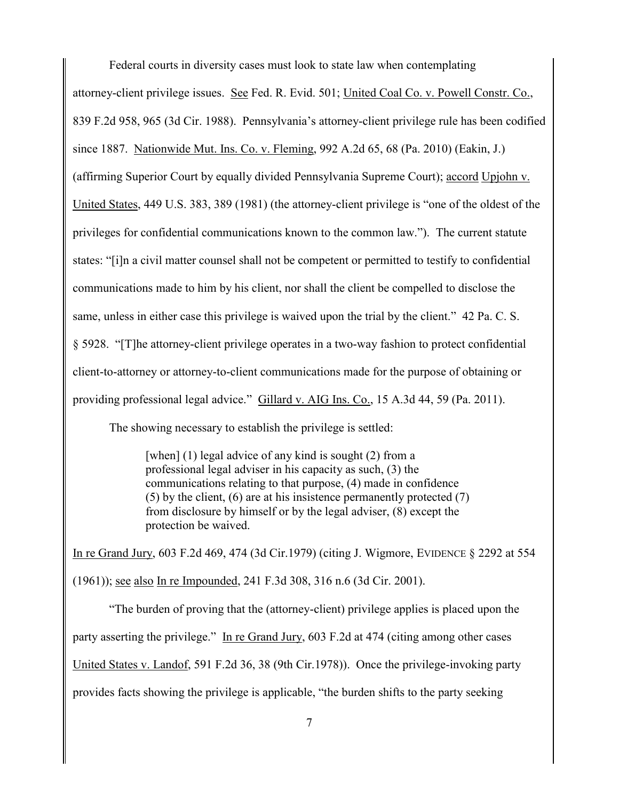Federal courts in diversity cases must look to state law when contemplating

attorney-client privilege issues. See Fed. R. Evid. 501; United Coal Co. v. Powell Constr. Co., 839 F.2d 958, 965 (3d Cir. 1988). Pennsylvania's attorney-client privilege rule has been codified since 1887. Nationwide Mut. Ins. Co. v. Fleming, 992 A.2d 65, 68 (Pa. 2010) (Eakin, J.) (affirming Superior Court by equally divided Pennsylvania Supreme Court); accord Upjohn v. United States, 449 U.S. 383, 389 (1981) (the attorney-client privilege is "one of the oldest of the privileges for confidential communications known to the common law."). The current statute states: "[i]n a civil matter counsel shall not be competent or permitted to testify to confidential communications made to him by his client, nor shall the client be compelled to disclose the same, unless in either case this privilege is waived upon the trial by the client." 42 Pa. C. S. § 5928. "[T]he attorney-client privilege operates in a two-way fashion to protect confidential client-to-attorney or attorney-to-client communications made for the purpose of obtaining or providing professional legal advice." Gillard v. AIG Ins. Co., 15 A.3d 44, 59 (Pa. 2011).

The showing necessary to establish the privilege is settled:

[when] (1) legal advice of any kind is sought (2) from a professional legal adviser in his capacity as such, (3) the communications relating to that purpose, (4) made in confidence (5) by the client, (6) are at his insistence permanently protected (7) from disclosure by himself or by the legal adviser, (8) except the protection be waived.

In re Grand Jury, 603 F.2d 469, 474 (3d Cir.1979) (citing J. Wigmore, EVIDENCE § 2292 at 554 (1961)); see also In re Impounded, 241 F.3d 308, 316 n.6 (3d Cir. 2001).

"The burden of proving that the (attorney-client) privilege applies is placed upon the party asserting the privilege." In re Grand Jury, 603 F.2d at 474 (citing among other cases United States v. Landof, 591 F.2d 36, 38 (9th Cir.1978)). Once the privilege-invoking party provides facts showing the privilege is applicable, "the burden shifts to the party seeking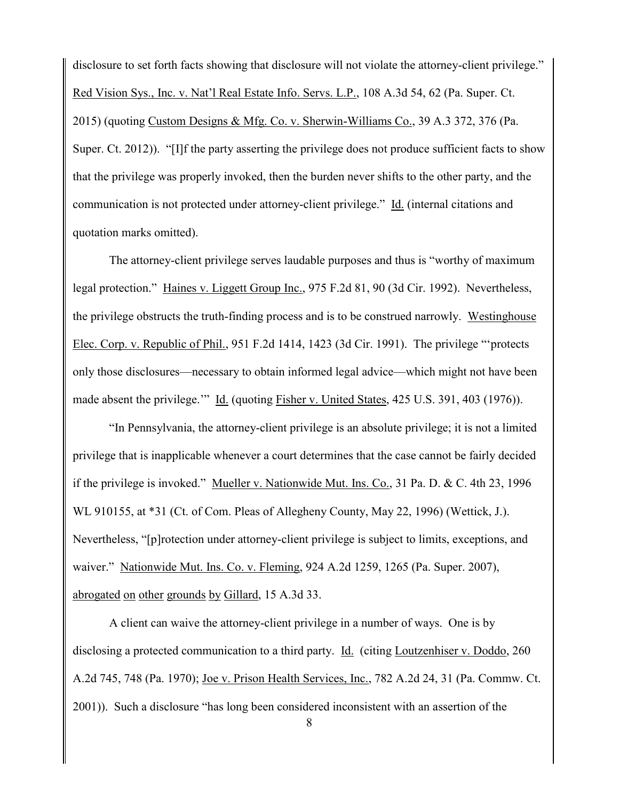disclosure to set forth facts showing that disclosure will not violate the attorney-client privilege." Red Vision Sys., Inc. v. Nat'l Real Estate Info. Servs. L.P., 108 A.3d 54, 62 (Pa. Super. Ct. 2015) (quoting Custom Designs & Mfg. Co. v. Sherwin-Williams Co., 39 A.3 372, 376 (Pa. Super. Ct. 2012)). "[I]f the party asserting the privilege does not produce sufficient facts to show that the privilege was properly invoked, then the burden never shifts to the other party, and the communication is not protected under attorney-client privilege." Id. (internal citations and quotation marks omitted).

The attorney-client privilege serves laudable purposes and thus is "worthy of maximum legal protection." Haines v. Liggett Group Inc., 975 F.2d 81, 90 (3d Cir. 1992). Nevertheless, the privilege obstructs the truth-finding process and is to be construed narrowly. Westinghouse Elec. Corp. v. Republic of Phil., 951 F.2d 1414, 1423 (3d Cir. 1991). The privilege "'protects only those disclosures—necessary to obtain informed legal advice—which might not have been made absent the privilege." Id. (quoting Fisher v. United States, 425 U.S. 391, 403 (1976)).

"In Pennsylvania, the attorney-client privilege is an absolute privilege; it is not a limited privilege that is inapplicable whenever a court determines that the case cannot be fairly decided if the privilege is invoked." Mueller v. Nationwide Mut. Ins. Co., 31 Pa. D. & C. 4th 23, 1996 WL 910155, at \*31 (Ct. of Com. Pleas of Allegheny County, May 22, 1996) (Wettick, J.). Nevertheless, "[p]rotection under attorney-client privilege is subject to limits, exceptions, and waiver." Nationwide Mut. Ins. Co. v. Fleming, 924 A.2d 1259, 1265 (Pa. Super. 2007), abrogated on other grounds by Gillard, 15 A.3d 33.

A client can waive the attorney-client privilege in a number of ways. One is by disclosing a protected communication to a third party. Id. (citing Loutzenhiser v. Doddo, 260 A.2d 745, 748 (Pa. 1970); Joe v. Prison Health Services, Inc., 782 A.2d 24, 31 (Pa. Commw. Ct. 2001)). Such a disclosure "has long been considered inconsistent with an assertion of the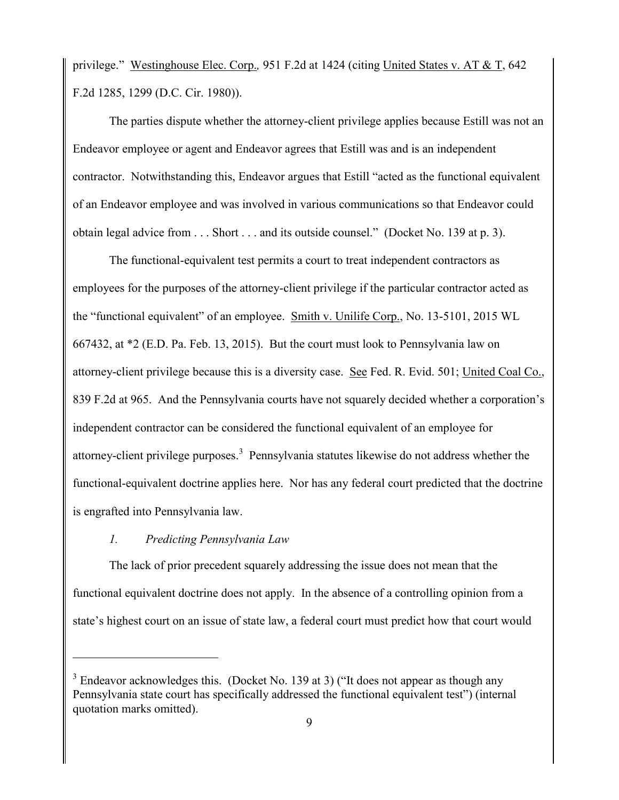privilege." Westinghouse Elec. Corp.*,* 951 F.2d at 1424 (citing United States v. AT & T, 642 F.2d 1285, 1299 (D.C. Cir. 1980)).

The parties dispute whether the attorney-client privilege applies because Estill was not an Endeavor employee or agent and Endeavor agrees that Estill was and is an independent contractor. Notwithstanding this, Endeavor argues that Estill "acted as the functional equivalent of an Endeavor employee and was involved in various communications so that Endeavor could obtain legal advice from . . . Short . . . and its outside counsel." (Docket No. 139 at p. 3).

The functional-equivalent test permits a court to treat independent contractors as employees for the purposes of the attorney-client privilege if the particular contractor acted as the "functional equivalent" of an employee. Smith v. Unilife Corp., No. 13-5101, 2015 WL 667432, at \*2 (E.D. Pa. Feb. 13, 2015). But the court must look to Pennsylvania law on attorney-client privilege because this is a diversity case. See Fed. R. Evid. 501; United Coal Co., 839 F.2d at 965. And the Pennsylvania courts have not squarely decided whether a corporation's independent contractor can be considered the functional equivalent of an employee for attorney-client privilege purposes. 3 Pennsylvania statutes likewise do not address whether the functional-equivalent doctrine applies here. Nor has any federal court predicted that the doctrine is engrafted into Pennsylvania law.

# *1. Predicting Pennsylvania Law*

 $\overline{a}$ 

The lack of prior precedent squarely addressing the issue does not mean that the functional equivalent doctrine does not apply. In the absence of a controlling opinion from a state's highest court on an issue of state law, a federal court must predict how that court would

<sup>&</sup>lt;sup>3</sup> Endeavor acknowledges this. (Docket No. 139 at 3) ("It does not appear as though any Pennsylvania state court has specifically addressed the functional equivalent test") (internal quotation marks omitted).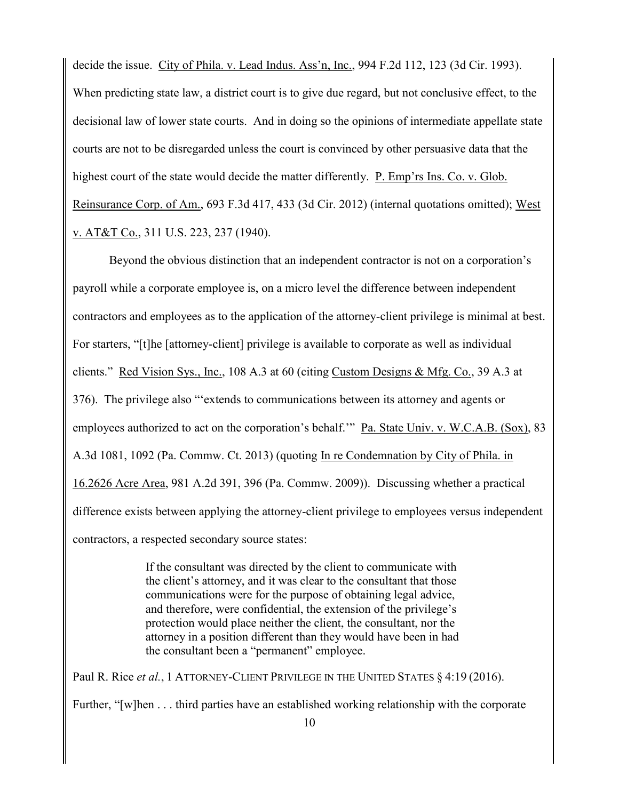decide the issue. City of Phila. v. Lead Indus. Ass'n, Inc., 994 F.2d 112, 123 (3d Cir. 1993). When predicting state law, a district court is to give due regard, but not conclusive effect, to the decisional law of lower state courts. And in doing so the opinions of intermediate appellate state courts are not to be disregarded unless the court is convinced by other persuasive data that the highest court of the state would decide the matter differently. P. Emp'rs Ins. Co. v. Glob. Reinsurance Corp. of Am., 693 F.3d 417, 433 (3d Cir. 2012) (internal quotations omitted); West v. AT&T Co., 311 U.S. 223, 237 (1940).

Beyond the obvious distinction that an independent contractor is not on a corporation's payroll while a corporate employee is, on a micro level the difference between independent contractors and employees as to the application of the attorney-client privilege is minimal at best. For starters, "[t]he [attorney-client] privilege is available to corporate as well as individual clients." Red Vision Sys., Inc., 108 A.3 at 60 (citing Custom Designs & Mfg. Co., 39 A.3 at 376). The privilege also "'extends to communications between its attorney and agents or employees authorized to act on the corporation's behalf."" Pa. State Univ. v. W.C.A.B. (Sox), 83 A.3d 1081, 1092 (Pa. Commw. Ct. 2013) (quoting In re Condemnation by City of Phila. in 16.2626 Acre Area, 981 A.2d 391, 396 (Pa. Commw. 2009)). Discussing whether a practical difference exists between applying the attorney-client privilege to employees versus independent contractors, a respected secondary source states:

> If the consultant was directed by the client to communicate with the client's attorney, and it was clear to the consultant that those communications were for the purpose of obtaining legal advice, and therefore, were confidential, the extension of the privilege's protection would place neither the client, the consultant, nor the attorney in a position different than they would have been in had the consultant been a "permanent" employee.

Paul R. Rice *et al.*, 1 ATTORNEY-CLIENT PRIVILEGE IN THE UNITED STATES § 4:19 (2016). Further, "[w]hen . . . third parties have an established working relationship with the corporate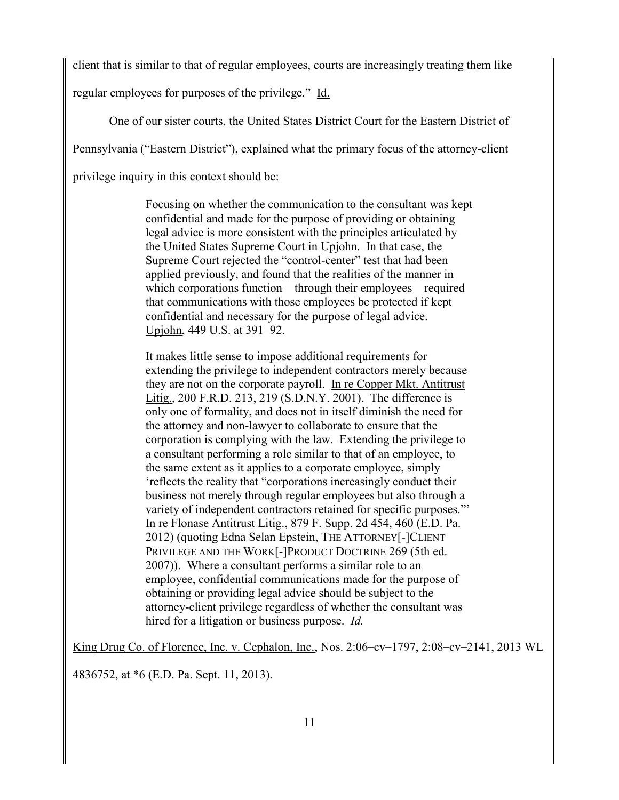client that is similar to that of regular employees, courts are increasingly treating them like

regular employees for purposes of the privilege." Id.

One of our sister courts, the United States District Court for the Eastern District of

Pennsylvania ("Eastern District"), explained what the primary focus of the attorney-client

privilege inquiry in this context should be:

Focusing on whether the communication to the consultant was kept confidential and made for the purpose of providing or obtaining legal advice is more consistent with the principles articulated by the United States Supreme Court in Upjohn. In that case, the Supreme Court rejected the "control-center" test that had been applied previously, and found that the realities of the manner in which corporations function—through their employees—required that communications with those employees be protected if kept confidential and necessary for the purpose of legal advice. Upjohn, 449 U.S. at 391–92.

It makes little sense to impose additional requirements for extending the privilege to independent contractors merely because they are not on the corporate payroll. In re Copper Mkt. Antitrust Litig., 200 F.R.D. 213, 219 (S.D.N.Y. 2001). The difference is only one of formality, and does not in itself diminish the need for the attorney and non-lawyer to collaborate to ensure that the corporation is complying with the law. Extending the privilege to a consultant performing a role similar to that of an employee, to the same extent as it applies to a corporate employee, simply 'reflects the reality that "corporations increasingly conduct their business not merely through regular employees but also through a variety of independent contractors retained for specific purposes."' In re Flonase Antitrust Litig., 879 F. Supp. 2d 454, 460 (E.D. Pa. 2012) (quoting Edna Selan Epstein, THE ATTORNEY[-]CLIENT PRIVILEGE AND THE WORK<sup>[</sup>-]PRODUCT DOCTRINE 269 (5th ed. 2007)). Where a consultant performs a similar role to an employee, confidential communications made for the purpose of obtaining or providing legal advice should be subject to the attorney-client privilege regardless of whether the consultant was hired for a litigation or business purpose. *Id.*

King Drug Co. of Florence, Inc. v. Cephalon, Inc., Nos. 2:06–cv–1797, 2:08–cv–2141, 2013 WL

4836752, at \*6 (E.D. Pa. Sept. 11, 2013).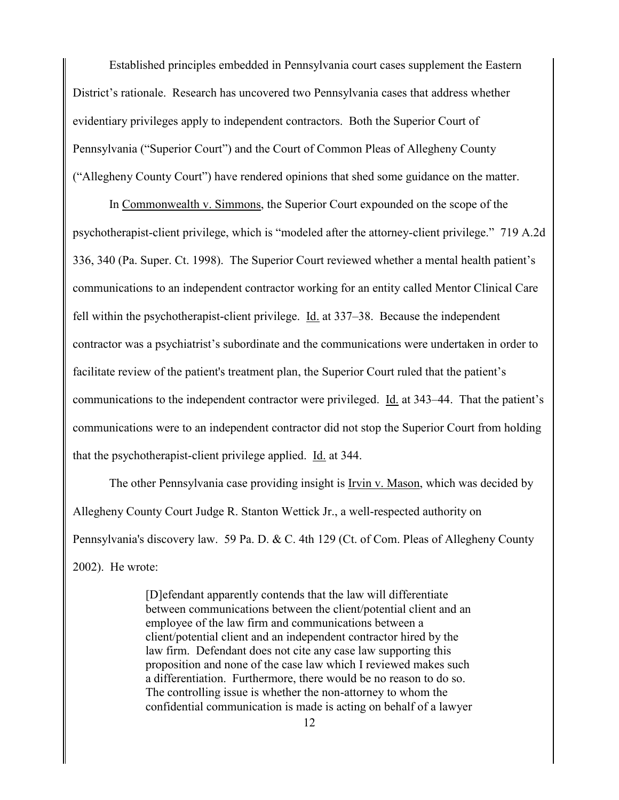Established principles embedded in Pennsylvania court cases supplement the Eastern District's rationale. Research has uncovered two Pennsylvania cases that address whether evidentiary privileges apply to independent contractors. Both the Superior Court of Pennsylvania ("Superior Court") and the Court of Common Pleas of Allegheny County ("Allegheny County Court") have rendered opinions that shed some guidance on the matter.

In Commonwealth v. Simmons, the Superior Court expounded on the scope of the psychotherapist-client privilege, which is "modeled after the attorney-client privilege." 719 A.2d 336, 340 (Pa. Super. Ct. 1998). The Superior Court reviewed whether a mental health patient's communications to an independent contractor working for an entity called Mentor Clinical Care fell within the psychotherapist-client privilege. Id. at 337–38. Because the independent contractor was a psychiatrist's subordinate and the communications were undertaken in order to facilitate review of the patient's treatment plan, the Superior Court ruled that the patient's communications to the independent contractor were privileged. Id. at 343–44. That the patient's communications were to an independent contractor did not stop the Superior Court from holding that the psychotherapist-client privilege applied. Id. at 344.

The other Pennsylvania case providing insight is Irvin v. Mason, which was decided by Allegheny County Court Judge R. Stanton Wettick Jr., a well-respected authority on Pennsylvania's discovery law. 59 Pa. D. & C. 4th 129 (Ct. of Com. Pleas of Allegheny County 2002). He wrote:

> [D]efendant apparently contends that the law will differentiate between communications between the client/potential client and an employee of the law firm and communications between a client/potential client and an independent contractor hired by the law firm. Defendant does not cite any case law supporting this proposition and none of the case law which I reviewed makes such a differentiation. Furthermore, there would be no reason to do so. The controlling issue is whether the non-attorney to whom the confidential communication is made is acting on behalf of a lawyer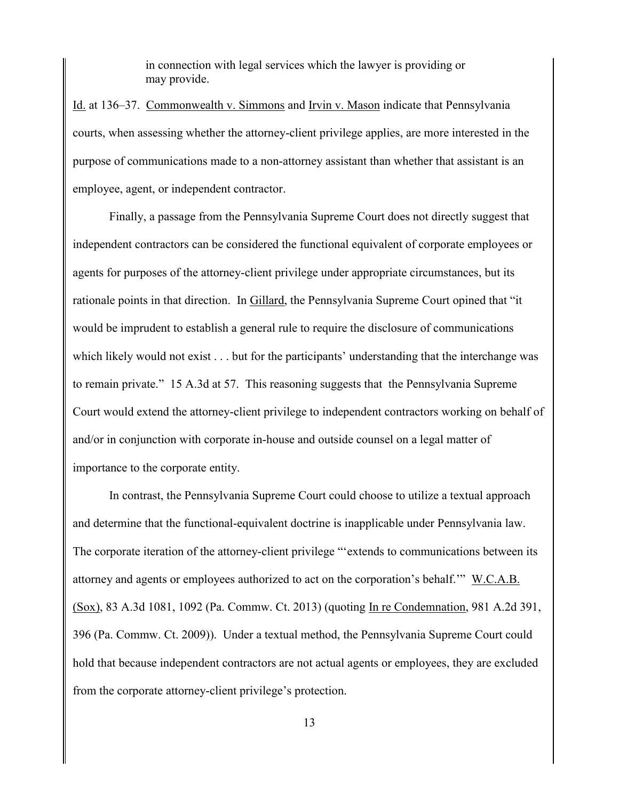in connection with legal services which the lawyer is providing or may provide.

Id. at 136–37. Commonwealth v. Simmons and Irvin v. Mason indicate that Pennsylvania courts, when assessing whether the attorney-client privilege applies, are more interested in the purpose of communications made to a non-attorney assistant than whether that assistant is an employee, agent, or independent contractor.

Finally, a passage from the Pennsylvania Supreme Court does not directly suggest that independent contractors can be considered the functional equivalent of corporate employees or agents for purposes of the attorney-client privilege under appropriate circumstances, but its rationale points in that direction. In Gillard, the Pennsylvania Supreme Court opined that "it would be imprudent to establish a general rule to require the disclosure of communications which likely would not exist . . . but for the participants' understanding that the interchange was to remain private." 15 A.3d at 57. This reasoning suggests that the Pennsylvania Supreme Court would extend the attorney-client privilege to independent contractors working on behalf of and/or in conjunction with corporate in-house and outside counsel on a legal matter of importance to the corporate entity.

In contrast, the Pennsylvania Supreme Court could choose to utilize a textual approach and determine that the functional-equivalent doctrine is inapplicable under Pennsylvania law. The corporate iteration of the attorney-client privilege "'extends to communications between its attorney and agents or employees authorized to act on the corporation's behalf.'" W.C.A.B. (Sox), 83 A.3d 1081, 1092 (Pa. Commw. Ct. 2013) (quoting In re Condemnation, 981 A.2d 391, 396 (Pa. Commw. Ct. 2009)). Under a textual method, the Pennsylvania Supreme Court could hold that because independent contractors are not actual agents or employees, they are excluded from the corporate attorney-client privilege's protection.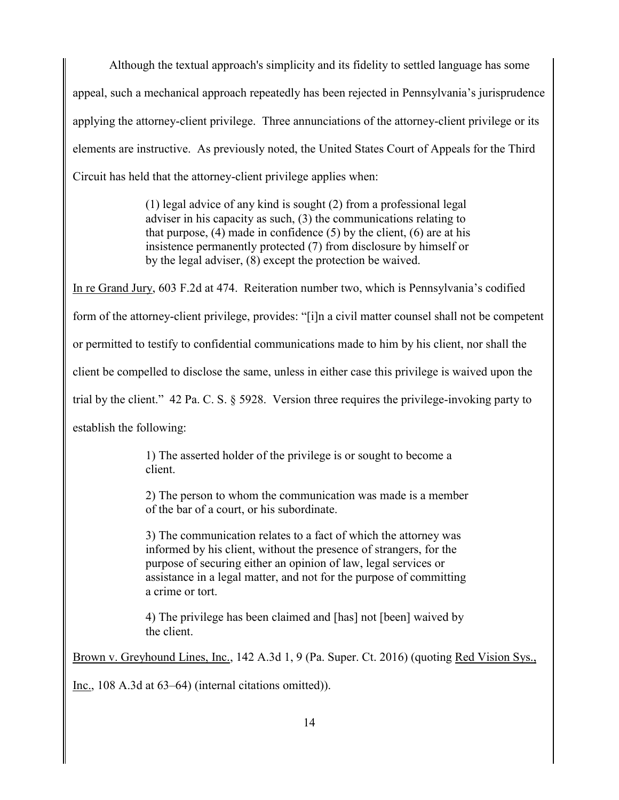Although the textual approach's simplicity and its fidelity to settled language has some appeal, such a mechanical approach repeatedly has been rejected in Pennsylvania's jurisprudence applying the attorney-client privilege. Three annunciations of the attorney-client privilege or its elements are instructive. As previously noted, the United States Court of Appeals for the Third Circuit has held that the attorney-client privilege applies when:

> (1) legal advice of any kind is sought (2) from a professional legal adviser in his capacity as such, (3) the communications relating to that purpose,  $(4)$  made in confidence  $(5)$  by the client,  $(6)$  are at his insistence permanently protected (7) from disclosure by himself or by the legal adviser, (8) except the protection be waived.

In re Grand Jury, 603 F.2d at 474. Reiteration number two, which is Pennsylvania's codified form of the attorney-client privilege, provides: "[i]n a civil matter counsel shall not be competent or permitted to testify to confidential communications made to him by his client, nor shall the client be compelled to disclose the same, unless in either case this privilege is waived upon the trial by the client." 42 Pa. C. S. § 5928. Version three requires the privilege-invoking party to establish the following:

> 1) The asserted holder of the privilege is or sought to become a client.

2) The person to whom the communication was made is a member of the bar of a court, or his subordinate.

3) The communication relates to a fact of which the attorney was informed by his client, without the presence of strangers, for the purpose of securing either an opinion of law, legal services or assistance in a legal matter, and not for the purpose of committing a crime or tort.

4) The privilege has been claimed and [has] not [been] waived by the client.

Brown v. Greyhound Lines, Inc., 142 A.3d 1, 9 (Pa. Super. Ct. 2016) (quoting Red Vision Sys.,

Inc., 108 A.3d at 63–64) (internal citations omitted)).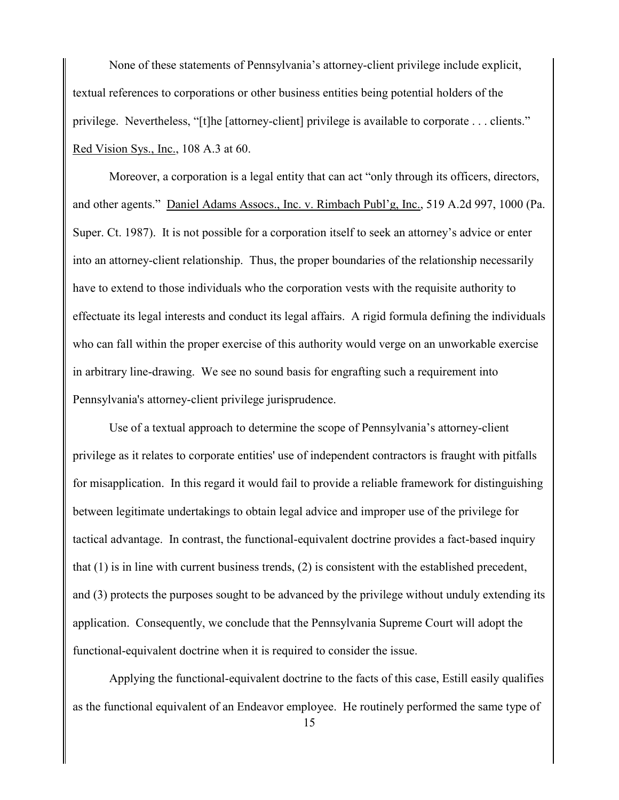None of these statements of Pennsylvania's attorney-client privilege include explicit, textual references to corporations or other business entities being potential holders of the privilege. Nevertheless, "[t]he [attorney-client] privilege is available to corporate . . . clients." Red Vision Sys., Inc., 108 A.3 at 60.

Moreover, a corporation is a legal entity that can act "only through its officers, directors, and other agents." Daniel Adams Assocs., Inc. v. Rimbach Publ'g, Inc., 519 A.2d 997, 1000 (Pa. Super. Ct. 1987). It is not possible for a corporation itself to seek an attorney's advice or enter into an attorney-client relationship. Thus, the proper boundaries of the relationship necessarily have to extend to those individuals who the corporation vests with the requisite authority to effectuate its legal interests and conduct its legal affairs. A rigid formula defining the individuals who can fall within the proper exercise of this authority would verge on an unworkable exercise in arbitrary line-drawing. We see no sound basis for engrafting such a requirement into Pennsylvania's attorney-client privilege jurisprudence.

Use of a textual approach to determine the scope of Pennsylvania's attorney-client privilege as it relates to corporate entities' use of independent contractors is fraught with pitfalls for misapplication. In this regard it would fail to provide a reliable framework for distinguishing between legitimate undertakings to obtain legal advice and improper use of the privilege for tactical advantage. In contrast, the functional-equivalent doctrine provides a fact-based inquiry that (1) is in line with current business trends, (2) is consistent with the established precedent, and (3) protects the purposes sought to be advanced by the privilege without unduly extending its application. Consequently, we conclude that the Pennsylvania Supreme Court will adopt the functional-equivalent doctrine when it is required to consider the issue.

Applying the functional-equivalent doctrine to the facts of this case, Estill easily qualifies as the functional equivalent of an Endeavor employee. He routinely performed the same type of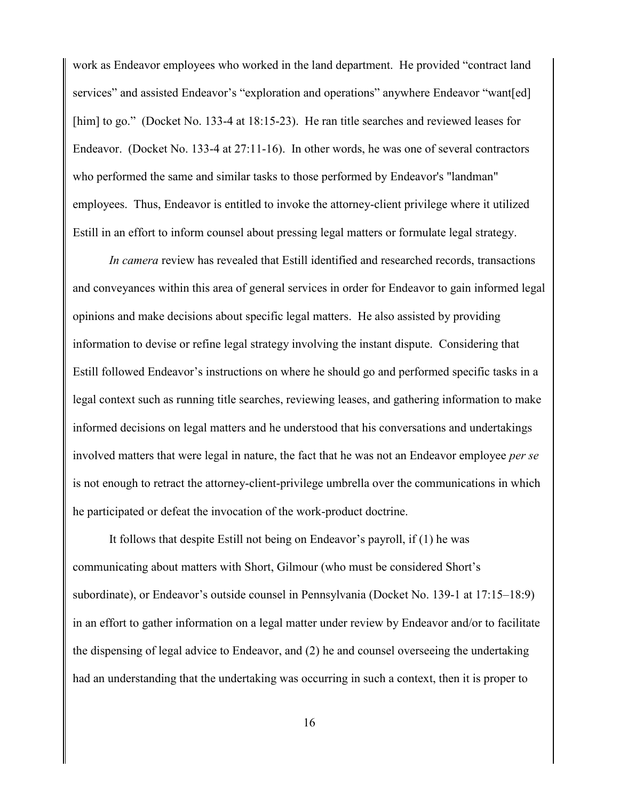work as Endeavor employees who worked in the land department. He provided "contract land services" and assisted Endeavor's "exploration and operations" anywhere Endeavor "want[ed] [him] to go." (Docket No. 133-4 at 18:15-23). He ran title searches and reviewed leases for Endeavor. (Docket No. 133-4 at 27:11-16). In other words, he was one of several contractors who performed the same and similar tasks to those performed by Endeavor's "landman" employees. Thus, Endeavor is entitled to invoke the attorney-client privilege where it utilized Estill in an effort to inform counsel about pressing legal matters or formulate legal strategy.

*In camera* review has revealed that Estill identified and researched records, transactions and conveyances within this area of general services in order for Endeavor to gain informed legal opinions and make decisions about specific legal matters. He also assisted by providing information to devise or refine legal strategy involving the instant dispute. Considering that Estill followed Endeavor's instructions on where he should go and performed specific tasks in a legal context such as running title searches, reviewing leases, and gathering information to make informed decisions on legal matters and he understood that his conversations and undertakings involved matters that were legal in nature, the fact that he was not an Endeavor employee *per se* is not enough to retract the attorney-client-privilege umbrella over the communications in which he participated or defeat the invocation of the work-product doctrine.

It follows that despite Estill not being on Endeavor's payroll, if (1) he was communicating about matters with Short, Gilmour (who must be considered Short's subordinate), or Endeavor's outside counsel in Pennsylvania (Docket No. 139-1 at 17:15–18:9) in an effort to gather information on a legal matter under review by Endeavor and/or to facilitate the dispensing of legal advice to Endeavor, and (2) he and counsel overseeing the undertaking had an understanding that the undertaking was occurring in such a context, then it is proper to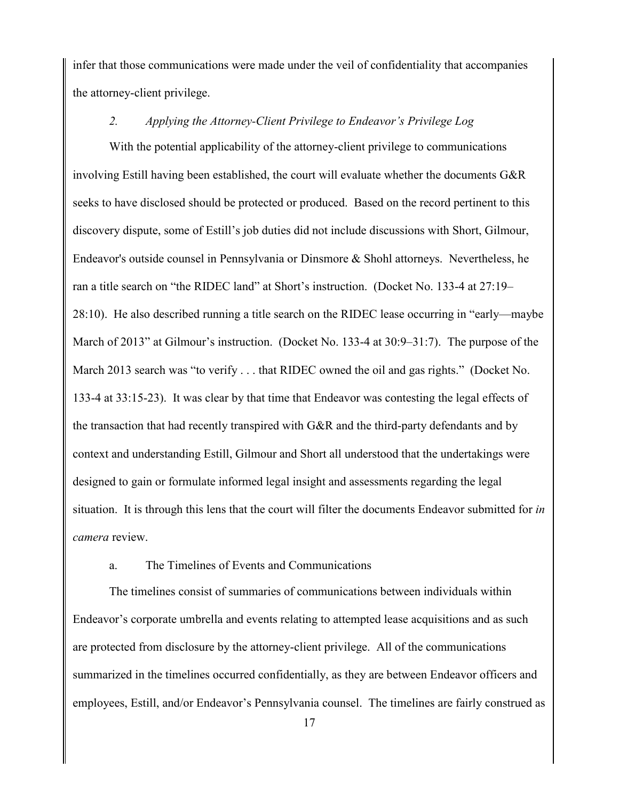infer that those communications were made under the veil of confidentiality that accompanies the attorney-client privilege.

### *2. Applying the Attorney-Client Privilege to Endeavor's Privilege Log*

With the potential applicability of the attorney-client privilege to communications involving Estill having been established, the court will evaluate whether the documents G&R seeks to have disclosed should be protected or produced. Based on the record pertinent to this discovery dispute, some of Estill's job duties did not include discussions with Short, Gilmour, Endeavor's outside counsel in Pennsylvania or Dinsmore & Shohl attorneys. Nevertheless, he ran a title search on "the RIDEC land" at Short's instruction. (Docket No. 133-4 at 27:19– 28:10). He also described running a title search on the RIDEC lease occurring in "early—maybe March of 2013" at Gilmour's instruction. (Docket No. 133-4 at 30:9–31:7). The purpose of the March 2013 search was "to verify . . . that RIDEC owned the oil and gas rights." (Docket No. 133-4 at 33:15-23). It was clear by that time that Endeavor was contesting the legal effects of the transaction that had recently transpired with G&R and the third-party defendants and by context and understanding Estill, Gilmour and Short all understood that the undertakings were designed to gain or formulate informed legal insight and assessments regarding the legal situation. It is through this lens that the court will filter the documents Endeavor submitted for *in camera* review.

### a. The Timelines of Events and Communications

The timelines consist of summaries of communications between individuals within Endeavor's corporate umbrella and events relating to attempted lease acquisitions and as such are protected from disclosure by the attorney-client privilege. All of the communications summarized in the timelines occurred confidentially, as they are between Endeavor officers and employees, Estill, and/or Endeavor's Pennsylvania counsel. The timelines are fairly construed as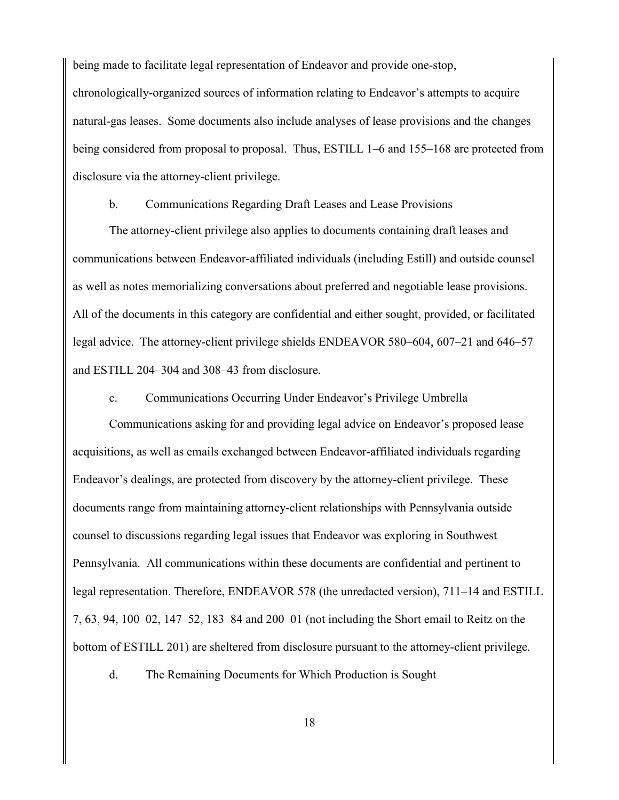being made to facilitate legal representation of Endeavor and provide one-stop, chronologically-organized sources of information relating to Endeavor's attempts to acquire natural-gas leases. Some documents also include analyses of lease provisions and the changes being considered from proposal to proposal. Thus, ESTILL 1–6 and 155–168 are protected from disclosure via the attorney-client privilege.

b. Communications Regarding Draft Leases and Lease Provisions

The attorney-client privilege also applies to documents containing draft leases and communications between Endeavor-affiliated individuals (including Estill) and outside counsel as well as notes memorializing conversations about preferred and negotiable lease provisions. All of the documents in this category are confidential and either sought, provided, or facilitated legal advice. The attorney-client privilege shields ENDEAVOR 580–604, 607–21 and 646–57 and ESTILL 204–304 and 308–43 from disclosure.

c. Communications Occurring Under Endeavor's Privilege Umbrella

Communications asking for and providing legal advice on Endeavor's proposed lease acquisitions, as well as emails exchanged between Endeavor-affiliated individuals regarding Endeavor's dealings, are protected from discovery by the attorney-client privilege. These documents range from maintaining attorney-client relationships with Pennsylvania outside counsel to discussions regarding legal issues that Endeavor was exploring in Southwest Pennsylvania. All communications within these documents are confidential and pertinent to legal representation. Therefore, ENDEAVOR 578 (the unredacted version), 711–14 and ESTILL 7, 63, 94, 100–02, 147–52, 183–84 and 200–01 (not including the Short email to Reitz on the bottom of ESTILL 201) are sheltered from disclosure pursuant to the attorney-client privilege.

d. The Remaining Documents for Which Production is Sought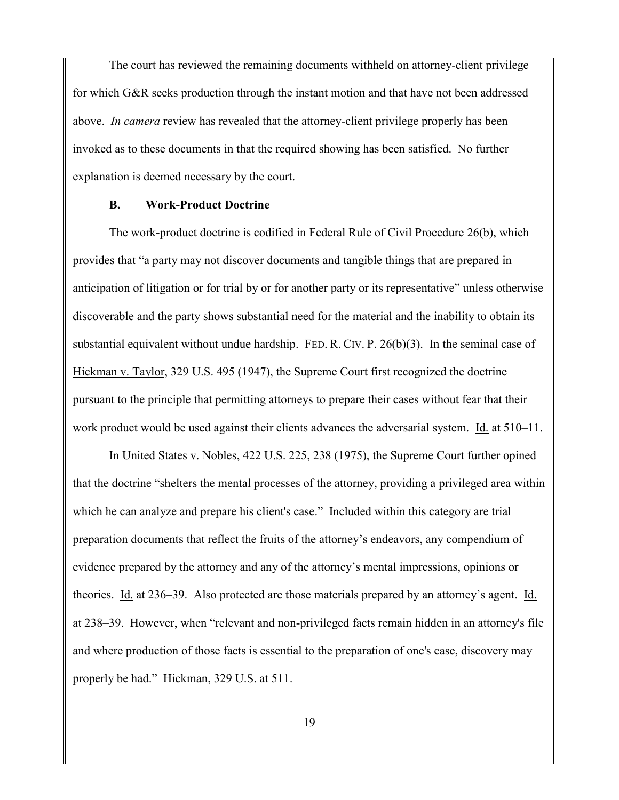The court has reviewed the remaining documents withheld on attorney-client privilege for which G&R seeks production through the instant motion and that have not been addressed above. *In camera* review has revealed that the attorney-client privilege properly has been invoked as to these documents in that the required showing has been satisfied. No further explanation is deemed necessary by the court.

### **B. Work-Product Doctrine**

The work-product doctrine is codified in Federal Rule of Civil Procedure 26(b), which provides that "a party may not discover documents and tangible things that are prepared in anticipation of litigation or for trial by or for another party or its representative" unless otherwise discoverable and the party shows substantial need for the material and the inability to obtain its substantial equivalent without undue hardship. FED. R. CIV. P. 26(b)(3). In the seminal case of Hickman v. Taylor, 329 U.S. 495 (1947), the Supreme Court first recognized the doctrine pursuant to the principle that permitting attorneys to prepare their cases without fear that their work product would be used against their clients advances the adversarial system. Id. at 510–11.

In United States v. Nobles, 422 U.S. 225, 238 (1975), the Supreme Court further opined that the doctrine "shelters the mental processes of the attorney, providing a privileged area within which he can analyze and prepare his client's case." Included within this category are trial preparation documents that reflect the fruits of the attorney's endeavors, any compendium of evidence prepared by the attorney and any of the attorney's mental impressions, opinions or theories. Id. at 236–39. Also protected are those materials prepared by an attorney's agent. Id. at 238–39. However, when "relevant and non-privileged facts remain hidden in an attorney's file and where production of those facts is essential to the preparation of one's case, discovery may properly be had." Hickman, 329 U.S. at 511.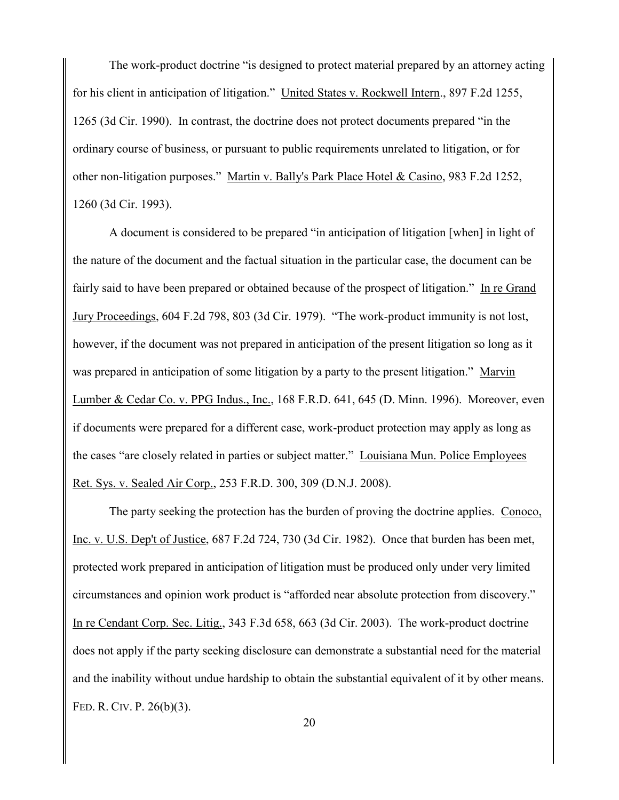The work-product doctrine "is designed to protect material prepared by an attorney acting for his client in anticipation of litigation." United States v. Rockwell Intern., 897 F.2d 1255, 1265 (3d Cir. 1990). In contrast, the doctrine does not protect documents prepared "in the ordinary course of business, or pursuant to public requirements unrelated to litigation, or for other non-litigation purposes." Martin v. Bally's Park Place Hotel & Casino, 983 F.2d 1252, 1260 (3d Cir. 1993).

A document is considered to be prepared "in anticipation of litigation [when] in light of the nature of the document and the factual situation in the particular case, the document can be fairly said to have been prepared or obtained because of the prospect of litigation." In re Grand Jury Proceedings, 604 F.2d 798, 803 (3d Cir. 1979). "The work-product immunity is not lost, however, if the document was not prepared in anticipation of the present litigation so long as it was prepared in anticipation of some litigation by a party to the present litigation." Marvin Lumber & Cedar Co. v. PPG Indus., Inc., 168 F.R.D. 641, 645 (D. Minn. 1996). Moreover, even if documents were prepared for a different case, work-product protection may apply as long as the cases "are closely related in parties or subject matter." Louisiana Mun. Police Employees Ret. Sys. v. Sealed Air Corp., 253 F.R.D. 300, 309 (D.N.J. 2008).

The party seeking the protection has the burden of proving the doctrine applies. Conoco, Inc. v. U.S. Dep't of Justice, 687 F.2d 724, 730 (3d Cir. 1982). Once that burden has been met, protected work prepared in anticipation of litigation must be produced only under very limited circumstances and opinion work product is "afforded near absolute protection from discovery." In re Cendant Corp. Sec. Litig., 343 F.3d 658, 663 (3d Cir. 2003). The work-product doctrine does not apply if the party seeking disclosure can demonstrate a substantial need for the material and the inability without undue hardship to obtain the substantial equivalent of it by other means. FED. R. CIV. P. 26(b)(3).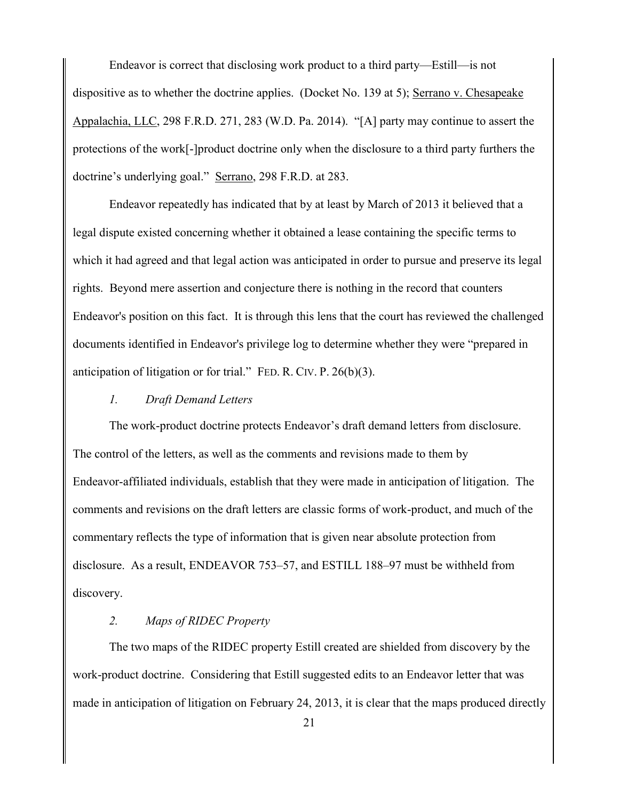Endeavor is correct that disclosing work product to a third party—Estill—is not dispositive as to whether the doctrine applies. (Docket No. 139 at 5); Serrano v. Chesapeake Appalachia, LLC, 298 F.R.D. 271, 283 (W.D. Pa. 2014). "[A] party may continue to assert the protections of the work[-]product doctrine only when the disclosure to a third party furthers the doctrine's underlying goal." Serrano, 298 F.R.D. at 283.

Endeavor repeatedly has indicated that by at least by March of 2013 it believed that a legal dispute existed concerning whether it obtained a lease containing the specific terms to which it had agreed and that legal action was anticipated in order to pursue and preserve its legal rights. Beyond mere assertion and conjecture there is nothing in the record that counters Endeavor's position on this fact. It is through this lens that the court has reviewed the challenged documents identified in Endeavor's privilege log to determine whether they were "prepared in anticipation of litigation or for trial." FED. R. CIV. P. 26(b)(3).

### *1. Draft Demand Letters*

The work-product doctrine protects Endeavor's draft demand letters from disclosure. The control of the letters, as well as the comments and revisions made to them by Endeavor-affiliated individuals, establish that they were made in anticipation of litigation. The comments and revisions on the draft letters are classic forms of work-product, and much of the commentary reflects the type of information that is given near absolute protection from disclosure. As a result, ENDEAVOR 753–57, and ESTILL 188–97 must be withheld from discovery.

### *2. Maps of RIDEC Property*

The two maps of the RIDEC property Estill created are shielded from discovery by the work-product doctrine. Considering that Estill suggested edits to an Endeavor letter that was made in anticipation of litigation on February 24, 2013, it is clear that the maps produced directly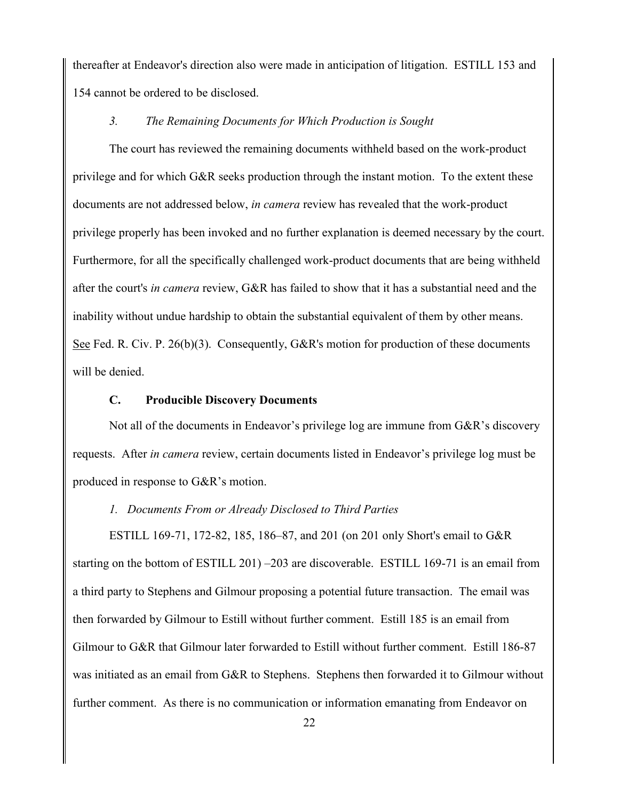thereafter at Endeavor's direction also were made in anticipation of litigation. ESTILL 153 and 154 cannot be ordered to be disclosed.

#### *3. The Remaining Documents for Which Production is Sought*

The court has reviewed the remaining documents withheld based on the work-product privilege and for which G&R seeks production through the instant motion. To the extent these documents are not addressed below, *in camera* review has revealed that the work-product privilege properly has been invoked and no further explanation is deemed necessary by the court. Furthermore, for all the specifically challenged work-product documents that are being withheld after the court's *in camera* review, G&R has failed to show that it has a substantial need and the inability without undue hardship to obtain the substantial equivalent of them by other means. See Fed. R. Civ. P. 26(b)(3). Consequently, G&R's motion for production of these documents will be denied.

### **C. Producible Discovery Documents**

Not all of the documents in Endeavor's privilege log are immune from G&R's discovery requests. After *in camera* review, certain documents listed in Endeavor's privilege log must be produced in response to G&R's motion.

#### *1. Documents From or Already Disclosed to Third Parties*

ESTILL 169-71, 172-82, 185, 186–87, and 201 (on 201 only Short's email to G&R starting on the bottom of ESTILL 201) –203 are discoverable. ESTILL 169-71 is an email from a third party to Stephens and Gilmour proposing a potential future transaction. The email was then forwarded by Gilmour to Estill without further comment. Estill 185 is an email from Gilmour to G&R that Gilmour later forwarded to Estill without further comment. Estill 186-87 was initiated as an email from G&R to Stephens. Stephens then forwarded it to Gilmour without further comment. As there is no communication or information emanating from Endeavor on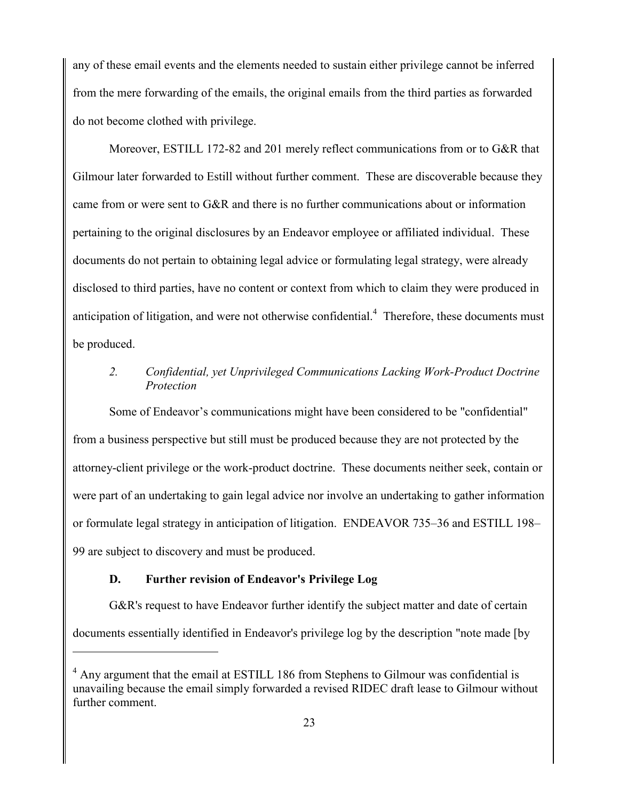any of these email events and the elements needed to sustain either privilege cannot be inferred from the mere forwarding of the emails, the original emails from the third parties as forwarded do not become clothed with privilege.

Moreover, ESTILL 172-82 and 201 merely reflect communications from or to G&R that Gilmour later forwarded to Estill without further comment. These are discoverable because they came from or were sent to G&R and there is no further communications about or information pertaining to the original disclosures by an Endeavor employee or affiliated individual. These documents do not pertain to obtaining legal advice or formulating legal strategy, were already disclosed to third parties, have no content or context from which to claim they were produced in anticipation of litigation, and were not otherwise confidential. $4$  Therefore, these documents must be produced.

## *2. Confidential, yet Unprivileged Communications Lacking Work-Product Doctrine Protection*

Some of Endeavor's communications might have been considered to be "confidential" from a business perspective but still must be produced because they are not protected by the attorney-client privilege or the work-product doctrine. These documents neither seek, contain or were part of an undertaking to gain legal advice nor involve an undertaking to gather information or formulate legal strategy in anticipation of litigation. ENDEAVOR 735–36 and ESTILL 198– 99 are subject to discovery and must be produced.

# **D. Further revision of Endeavor's Privilege Log**

 $\overline{a}$ 

G&R's request to have Endeavor further identify the subject matter and date of certain documents essentially identified in Endeavor's privilege log by the description "note made [by

 $<sup>4</sup>$  Any argument that the email at ESTILL 186 from Stephens to Gilmour was confidential is</sup> unavailing because the email simply forwarded a revised RIDEC draft lease to Gilmour without further comment.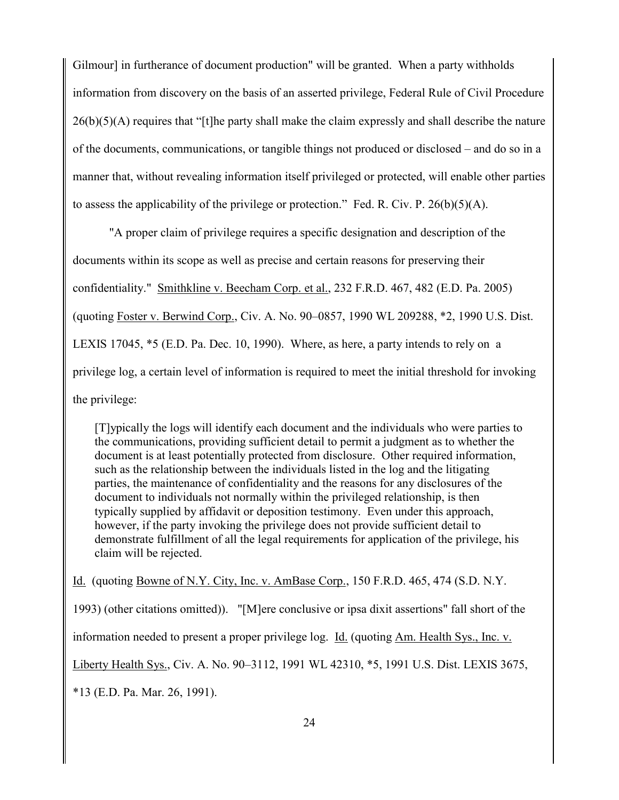Gilmour] in furtherance of document production" will be granted. When a party withholds information from discovery on the basis of an asserted privilege, Federal Rule of Civil Procedure 26(b)(5)(A) requires that "[t]he party shall make the claim expressly and shall describe the nature of the documents, communications, or tangible things not produced or disclosed – and do so in a manner that, without revealing information itself privileged or protected, will enable other parties to assess the applicability of the privilege or protection." Fed. R. Civ. P.  $26(b)(5)(A)$ .

"A proper claim of privilege requires a specific designation and description of the documents within its scope as well as precise and certain reasons for preserving their confidentiality." Smithkline v. Beecham Corp. et al., 232 F.R.D. 467, 482 (E.D. Pa. 2005) (quoting Foster v. Berwind Corp., Civ. A. No. 90–0857, 1990 WL 209288, \*2, 1990 U.S. Dist. LEXIS 17045, \*5 (E.D. Pa. Dec. 10, 1990). Where, as here, a party intends to rely on a privilege log, a certain level of information is required to meet the initial threshold for invoking the privilege:

[T]ypically the logs will identify each document and the individuals who were parties to the communications, providing sufficient detail to permit a judgment as to whether the document is at least potentially protected from disclosure. Other required information, such as the relationship between the individuals listed in the log and the litigating parties, the maintenance of confidentiality and the reasons for any disclosures of the document to individuals not normally within the privileged relationship, is then typically supplied by affidavit or deposition testimony. Even under this approach, however, if the party invoking the privilege does not provide sufficient detail to demonstrate fulfillment of all the legal requirements for application of the privilege, his claim will be rejected.

Id. (quoting Bowne of N.Y. City, Inc. v. AmBase Corp., 150 F.R.D. 465, 474 (S.D. N.Y.

1993) (other citations omitted)). "[M]ere conclusive or ipsa dixit assertions" fall short of the

information needed to present a proper privilege log. Id. (quoting Am. Health Sys., Inc. v.

Liberty Health Sys., Civ. A. No. 90–3112, 1991 WL 42310, \*5, 1991 U.S. Dist. LEXIS 3675,

\*13 (E.D. Pa. Mar. 26, 1991).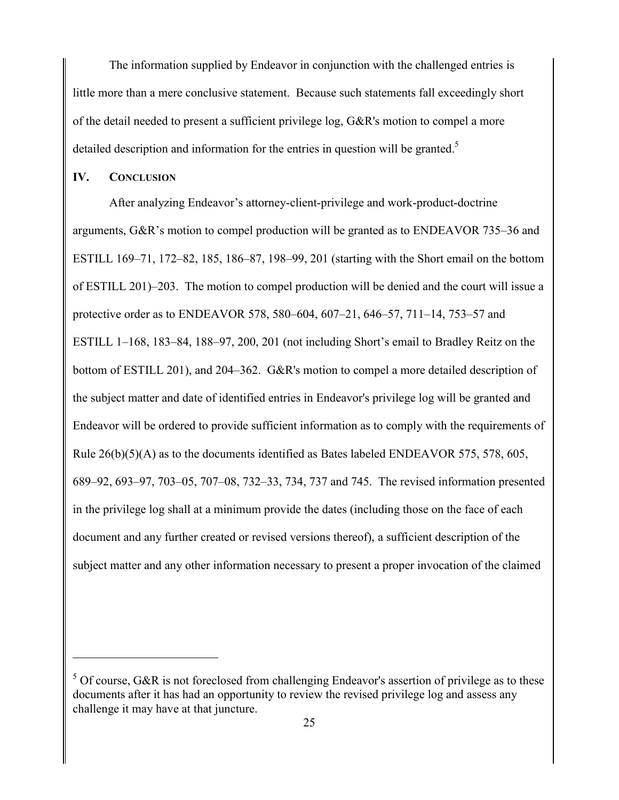The information supplied by Endeavor in conjunction with the challenged entries is little more than a mere conclusive statement. Because such statements fall exceedingly short of the detail needed to present a sufficient privilege log, G&R's motion to compel a more detailed description and information for the entries in question will be granted.<sup>5</sup>

#### **IV. CONCLUSION**

 $\overline{a}$ 

After analyzing Endeavor's attorney-client-privilege and work-product-doctrine arguments, G&R's motion to compel production will be granted as to ENDEAVOR 735–36 and ESTILL 169–71, 172–82, 185, 186–87, 198–99, 201 (starting with the Short email on the bottom of ESTILL 201)–203. The motion to compel production will be denied and the court will issue a protective order as to ENDEAVOR 578, 580–604, 607–21, 646–57, 711–14, 753–57 and ESTILL 1–168, 183–84, 188–97, 200, 201 (not including Short's email to Bradley Reitz on the bottom of ESTILL 201), and 204–362. G&R's motion to compel a more detailed description of the subject matter and date of identified entries in Endeavor's privilege log will be granted and Endeavor will be ordered to provide sufficient information as to comply with the requirements of Rule  $26(b)(5)(A)$  as to the documents identified as Bates labeled ENDEAVOR 575, 578, 605, 689–92, 693–97, 703–05, 707–08, 732–33, 734, 737 and 745. The revised information presented in the privilege log shall at a minimum provide the dates (including those on the face of each document and any further created or revised versions thereof), a sufficient description of the subject matter and any other information necessary to present a proper invocation of the claimed

 $5$  Of course, G&R is not foreclosed from challenging Endeavor's assertion of privilege as to these documents after it has had an opportunity to review the revised privilege log and assess any challenge it may have at that juncture.